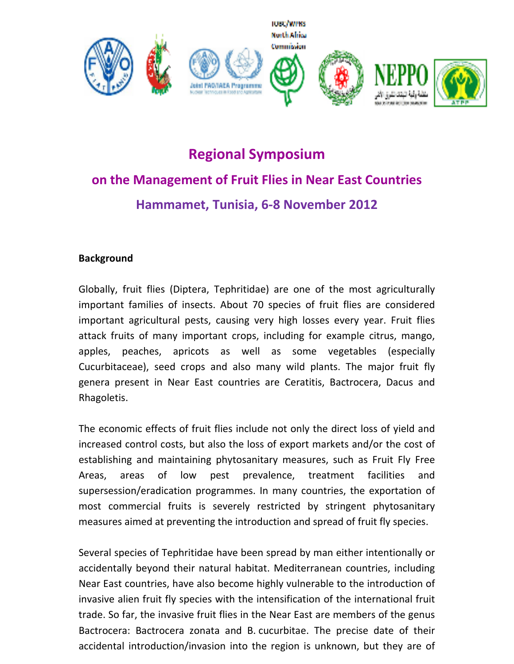



## **Regional Symposium on the Management of Fruit Flies in Near East Countries Hammamet, Tunisia, 6‐8 November 2012**

## **Background**

Globally, fruit flies (Diptera, Tephritidae) are one of the most agriculturally important families of insects. About 70 species of fruit flies are considered important agricultural pests, causing very high losses every year. Fruit flies attack fruits of many important crops, including for example citrus, mango, apples, peaches, apricots as well as some vegetables (especially Cucurbitaceae), seed crops and also many wild plants. The major fruit fly genera present in Near East countries are Ceratitis, Bactrocera, Dacus and Rhagoletis.

The economic effects of fruit flies include not only the direct loss of yield and increased control costs, but also the loss of export markets and/or the cost of establishing and maintaining phytosanitary measures, such as Fruit Fly Free Areas, areas of low pest prevalence, treatment facilities and supersession/eradication programmes. In many countries, the exportation of most commercial fruits is severely restricted by stringent phytosanitary measures aimed at preventing the introduction and spread of fruit fly species.

Several species of Tephritidae have been spread by man either intentionally or accidentally beyond their natural habitat. Mediterranean countries, including Near East countries, have also become highly vulnerable to the introduction of invasive alien fruit fly species with the intensification of the international fruit trade. So far, the invasive fruit flies in the Near East are members of the genus Bactrocera: Bactrocera zonata and B. cucurbitae. The precise date of their accidental introduction/invasion into the region is unknown, but they are of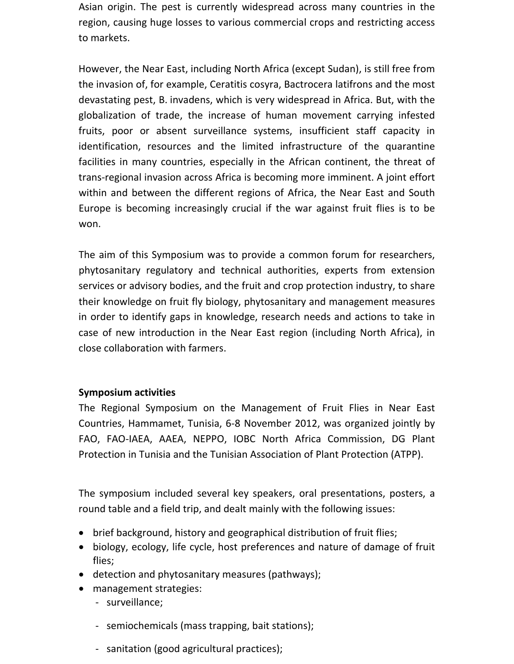Asian origin. The pest is currently widespread across many countries in the region, causing huge losses to various commercial crops and restricting access to markets.

However, the Near East, including North Africa (except Sudan), is still free from the invasion of, for example, Ceratitis cosyra, Bactrocera latifrons and the most devastating pest, B. invadens, which is very widespread in Africa. But, with the globalization of trade, the increase of human movement carrying infested fruits, poor or absent surveillance systems, insufficient staff capacity in identification, resources and the limited infrastructure of the quarantine facilities in many countries, especially in the African continent, the threat of trans‐regional invasion across Africa is becoming more imminent. A joint effort within and between the different regions of Africa, the Near East and South Europe is becoming increasingly crucial if the war against fruit flies is to be won.

The aim of this Symposium was to provide a common forum for researchers, phytosanitary regulatory and technical authorities, experts from extension services or advisory bodies, and the fruit and crop protection industry, to share their knowledge on fruit fly biology, phytosanitary and management measures in order to identify gaps in knowledge, research needs and actions to take in case of new introduction in the Near East region (including North Africa), in close collaboration with farmers.

## **Symposium activities**

The Regional Symposium on the Management of Fruit Flies in Near East Countries, Hammamet, Tunisia, 6‐8 November 2012, was organized jointly by FAO, FAO‐IAEA, AAEA, NEPPO, IOBC North Africa Commission, DG Plant Protection in Tunisia and the Tunisian Association of Plant Protection (ATPP).

The symposium included several key speakers, oral presentations, posters, a round table and a field trip, and dealt mainly with the following issues:

- brief background, history and geographical distribution of fruit flies;
- biology, ecology, life cycle, host preferences and nature of damage of fruit flies;
- detection and phytosanitary measures (pathways);
- management strategies:
	- ‐ surveillance;
	- ‐ semiochemicals (mass trapping, bait stations);
	- ‐ sanitation (good agricultural practices);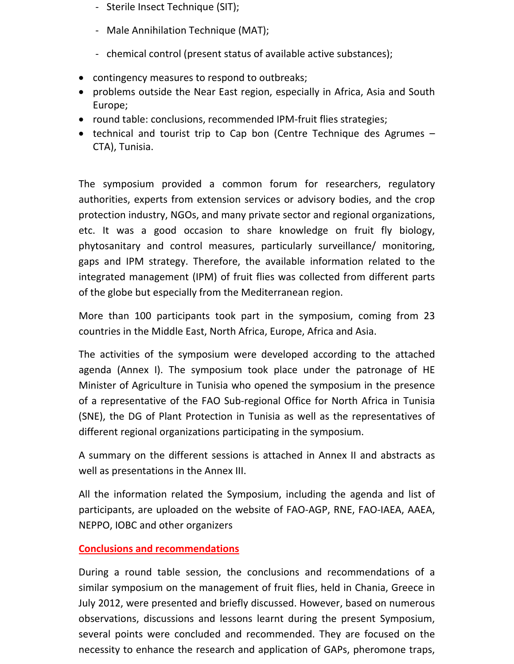- ‐ Sterile Insect Technique (SIT);
- ‐ Male Annihilation Technique (MAT);
- chemical control (present status of available active substances);
- contingency measures to respond to outbreaks;
- problems outside the Near East region, especially in Africa, Asia and South Europe;
- round table: conclusions, recommended IPM‐fruit flies strategies;
- technical and tourist trip to Cap bon (Centre Technique des Agrumes CTA), Tunisia.

The symposium provided a common forum for researchers, regulatory authorities, experts from extension services or advisory bodies, and the crop protection industry, NGOs, and many private sector and regional organizations, etc. It was a good occasion to share knowledge on fruit fly biology, phytosanitary and control measures, particularly surveillance/ monitoring, gaps and IPM strategy. Therefore, the available information related to the integrated management (IPM) of fruit flies was collected from different parts of the globe but especially from the Mediterranean region.

More than 100 participants took part in the symposium, coming from 23 countries in the Middle East, North Africa, Europe, Africa and Asia.

The activities of the symposium were developed according to the attached agenda (Annex I). The symposium took place under the patronage of HE Minister of Agriculture in Tunisia who opened the symposium in the presence of a representative of the FAO Sub‐regional Office for North Africa in Tunisia (SNE), the DG of Plant Protection in Tunisia as well as the representatives of different regional organizations participating in the symposium.

A summary on the different sessions is attached in Annex II and abstracts as well as presentations in the Annex III.

All the information related the Symposium, including the agenda and list of participants, are uploaded on the website of FAO‐AGP, RNE, FAO‐IAEA, AAEA, NEPPO, IOBC and other organizers

## **Conclusions and recommendations**

During a round table session, the conclusions and recommendations of a similar symposium on the management of fruit flies, held in Chania, Greece in July 2012, were presented and briefly discussed. However, based on numerous observations, discussions and lessons learnt during the present Symposium, several points were concluded and recommended. They are focused on the necessity to enhance the research and application of GAPs, pheromone traps,